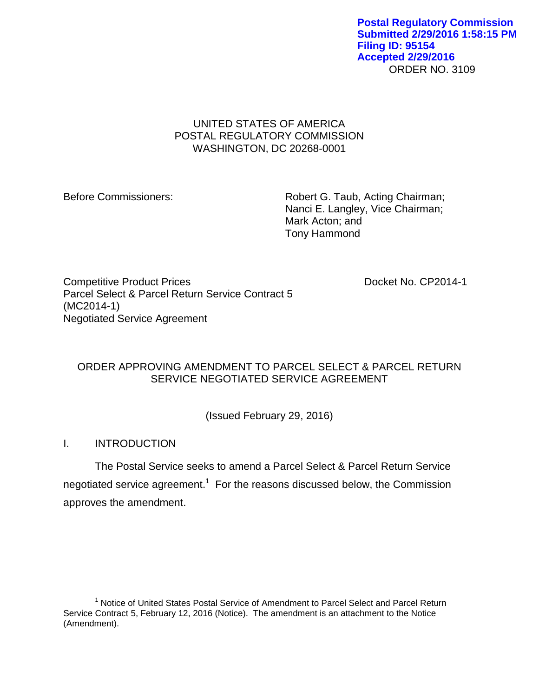## UNITED STATES OF AMERICA POSTAL REGULATORY COMMISSION WASHINGTON, DC 20268-0001

Before Commissioners: Robert G. Taub, Acting Chairman; Nanci E. Langley, Vice Chairman; Mark Acton; and Tony Hammond

Competitive Product Prices **Docket No. CP2014-1** Parcel Select & Parcel Return Service Contract 5 (MC2014-1) Negotiated Service Agreement

# ORDER APPROVING AMENDMENT TO PARCEL SELECT & PARCEL RETURN SERVICE NEGOTIATED SERVICE AGREEMENT

(Issued February 29, 2016)

# I. INTRODUCTION

 $\overline{a}$ 

The Postal Service seeks to amend a Parcel Select & Parcel Return Service negotiated service agreement.<sup>1</sup> For the reasons discussed below, the Commission approves the amendment.

<sup>&</sup>lt;sup>1</sup> Notice of United States Postal Service of Amendment to Parcel Select and Parcel Return Service Contract 5, February 12, 2016 (Notice). The amendment is an attachment to the Notice (Amendment).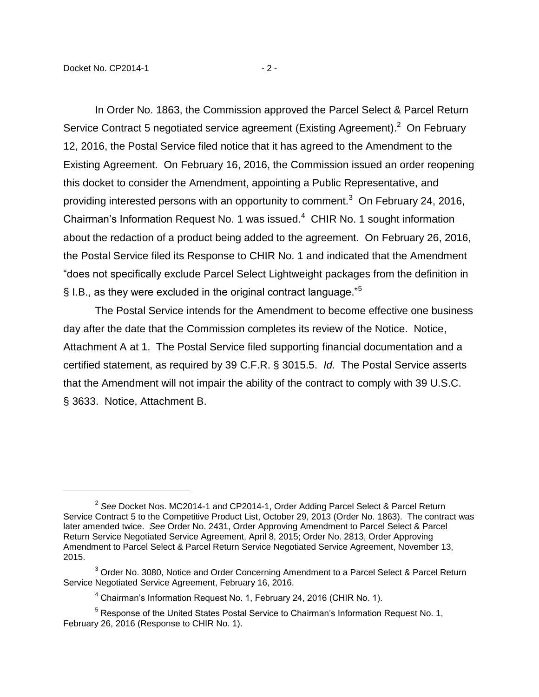$\overline{a}$ 

In Order No. 1863, the Commission approved the Parcel Select & Parcel Return Service Contract 5 negotiated service agreement (Existing Agreement). $2$  On February 12, 2016, the Postal Service filed notice that it has agreed to the Amendment to the Existing Agreement. On February 16, 2016, the Commission issued an order reopening this docket to consider the Amendment, appointing a Public Representative, and providing interested persons with an opportunity to comment.<sup>3</sup> On February 24, 2016, Chairman's Information Request No. 1 was issued. $4$  CHIR No. 1 sought information about the redaction of a product being added to the agreement. On February 26, 2016, the Postal Service filed its Response to CHIR No. 1 and indicated that the Amendment "does not specifically exclude Parcel Select Lightweight packages from the definition in § I.B., as they were excluded in the original contract language.<sup>"5</sup>

The Postal Service intends for the Amendment to become effective one business day after the date that the Commission completes its review of the Notice. Notice, Attachment A at 1. The Postal Service filed supporting financial documentation and a certified statement, as required by 39 C.F.R. § 3015.5. *Id.* The Postal Service asserts that the Amendment will not impair the ability of the contract to comply with 39 U.S.C. § 3633. Notice, Attachment B.

<sup>2</sup> *See* Docket Nos. MC2014-1 and CP2014-1, Order Adding Parcel Select & Parcel Return Service Contract 5 to the Competitive Product List, October 29, 2013 (Order No. 1863). The contract was later amended twice. *See* Order No. 2431, Order Approving Amendment to Parcel Select & Parcel Return Service Negotiated Service Agreement, April 8, 2015; Order No. 2813, Order Approving Amendment to Parcel Select & Parcel Return Service Negotiated Service Agreement, November 13, 2015.

 $3$  Order No. 3080, Notice and Order Concerning Amendment to a Parcel Select & Parcel Return Service Negotiated Service Agreement, February 16, 2016.

<sup>4</sup> Chairman's Information Request No. 1, February 24, 2016 (CHIR No. 1).

<sup>&</sup>lt;sup>5</sup> Response of the United States Postal Service to Chairman's Information Request No. 1, February 26, 2016 (Response to CHIR No. 1).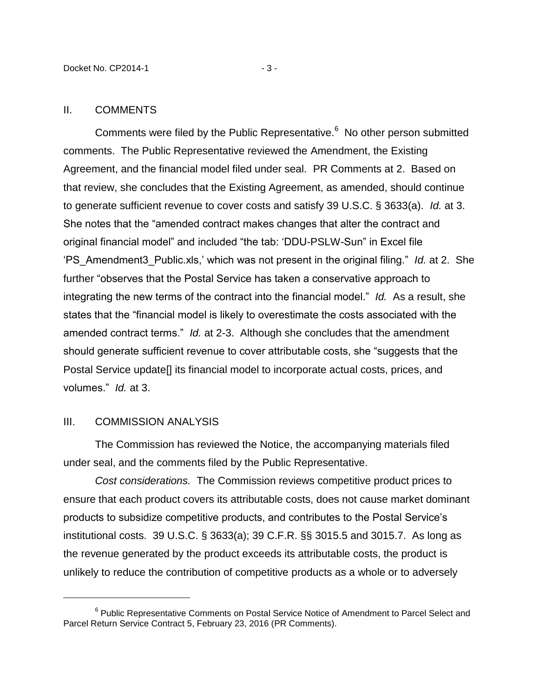#### II. COMMENTS

Comments were filed by the Public Representative.<sup>6</sup> No other person submitted comments. The Public Representative reviewed the Amendment, the Existing Agreement, and the financial model filed under seal. PR Comments at 2. Based on that review, she concludes that the Existing Agreement, as amended, should continue to generate sufficient revenue to cover costs and satisfy 39 U.S.C. § 3633(a). *Id.* at 3. She notes that the "amended contract makes changes that alter the contract and original financial model" and included "the tab: 'DDU-PSLW-Sun" in Excel file 'PS\_Amendment3\_Public.xls,' which was not present in the original filing." *Id.* at 2. She further "observes that the Postal Service has taken a conservative approach to integrating the new terms of the contract into the financial model." *Id.* As a result, she states that the "financial model is likely to overestimate the costs associated with the amended contract terms." *Id.* at 2-3. Although she concludes that the amendment should generate sufficient revenue to cover attributable costs, she "suggests that the Postal Service update[] its financial model to incorporate actual costs, prices, and volumes." *Id.* at 3.

### III. COMMISSION ANALYSIS

 $\overline{a}$ 

The Commission has reviewed the Notice, the accompanying materials filed under seal, and the comments filed by the Public Representative.

*Cost considerations.* The Commission reviews competitive product prices to ensure that each product covers its attributable costs, does not cause market dominant products to subsidize competitive products, and contributes to the Postal Service's institutional costs. 39 U.S.C. § 3633(a); 39 C.F.R. §§ 3015.5 and 3015.7. As long as the revenue generated by the product exceeds its attributable costs, the product is unlikely to reduce the contribution of competitive products as a whole or to adversely

<sup>&</sup>lt;sup>6</sup> Public Representative Comments on Postal Service Notice of Amendment to Parcel Select and Parcel Return Service Contract 5, February 23, 2016 (PR Comments).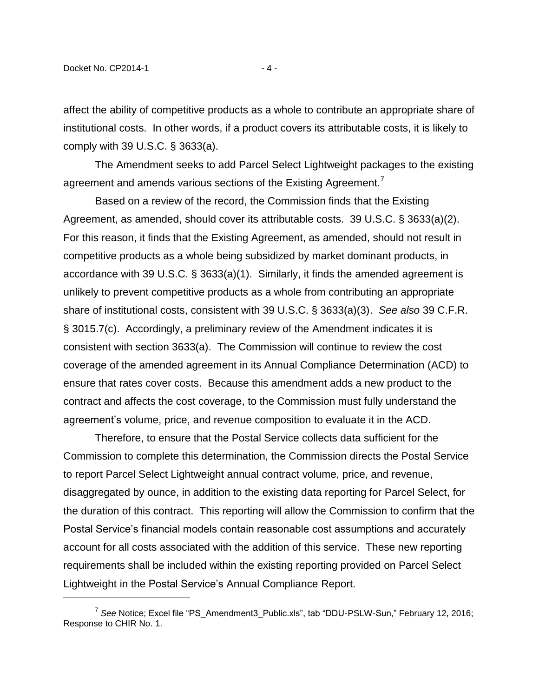$\overline{a}$ 

affect the ability of competitive products as a whole to contribute an appropriate share of institutional costs. In other words, if a product covers its attributable costs, it is likely to comply with 39 U.S.C. § 3633(a).

The Amendment seeks to add Parcel Select Lightweight packages to the existing agreement and amends various sections of the Existing Agreement.<sup>7</sup>

Based on a review of the record, the Commission finds that the Existing Agreement, as amended, should cover its attributable costs. 39 U.S.C. § 3633(a)(2). For this reason, it finds that the Existing Agreement, as amended, should not result in competitive products as a whole being subsidized by market dominant products, in accordance with 39 U.S.C. § 3633(a)(1). Similarly, it finds the amended agreement is unlikely to prevent competitive products as a whole from contributing an appropriate share of institutional costs, consistent with 39 U.S.C. § 3633(a)(3). *See also* 39 C.F.R. § 3015.7(c). Accordingly, a preliminary review of the Amendment indicates it is consistent with section 3633(a). The Commission will continue to review the cost coverage of the amended agreement in its Annual Compliance Determination (ACD) to ensure that rates cover costs. Because this amendment adds a new product to the contract and affects the cost coverage, to the Commission must fully understand the agreement's volume, price, and revenue composition to evaluate it in the ACD.

Therefore, to ensure that the Postal Service collects data sufficient for the Commission to complete this determination, the Commission directs the Postal Service to report Parcel Select Lightweight annual contract volume, price, and revenue, disaggregated by ounce, in addition to the existing data reporting for Parcel Select, for the duration of this contract. This reporting will allow the Commission to confirm that the Postal Service's financial models contain reasonable cost assumptions and accurately account for all costs associated with the addition of this service. These new reporting requirements shall be included within the existing reporting provided on Parcel Select Lightweight in the Postal Service's Annual Compliance Report.

<sup>7</sup> *See* Notice; Excel file "PS\_Amendment3\_Public.xls", tab "DDU-PSLW-Sun," February 12, 2016; Response to CHIR No. 1.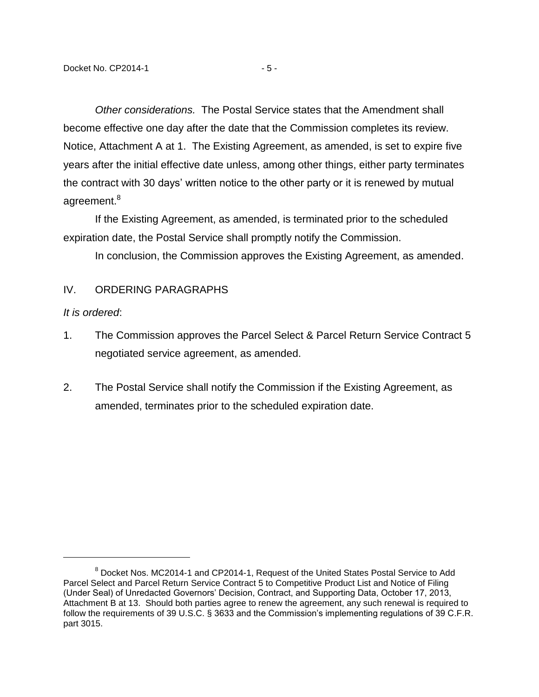*Other considerations.* The Postal Service states that the Amendment shall become effective one day after the date that the Commission completes its review. Notice, Attachment A at 1. The Existing Agreement, as amended, is set to expire five years after the initial effective date unless, among other things, either party terminates the contract with 30 days' written notice to the other party or it is renewed by mutual agreement.<sup>8</sup>

If the Existing Agreement, as amended, is terminated prior to the scheduled expiration date, the Postal Service shall promptly notify the Commission.

In conclusion, the Commission approves the Existing Agreement, as amended.

## IV. ORDERING PARAGRAPHS

*It is ordered*:

 $\overline{a}$ 

- 1. The Commission approves the Parcel Select & Parcel Return Service Contract 5 negotiated service agreement, as amended.
- 2. The Postal Service shall notify the Commission if the Existing Agreement, as amended, terminates prior to the scheduled expiration date.

 $8$  Docket Nos. MC2014-1 and CP2014-1, Request of the United States Postal Service to Add Parcel Select and Parcel Return Service Contract 5 to Competitive Product List and Notice of Filing (Under Seal) of Unredacted Governors' Decision, Contract, and Supporting Data, October 17, 2013, Attachment B at 13. Should both parties agree to renew the agreement, any such renewal is required to follow the requirements of 39 U.S.C. § 3633 and the Commission's implementing regulations of 39 C.F.R. part 3015.